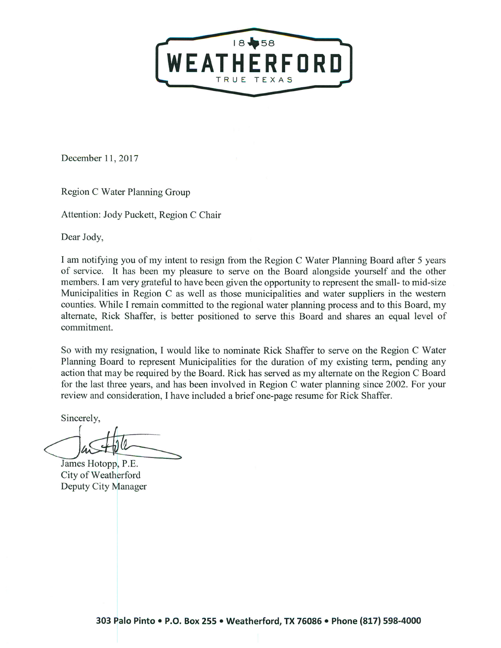

December 11, 2017

Region C Water Planning Group

Attention: Jody Puckett, Region C Chair

Dear Jody,

I am notifying you of my intent to resign from the Region C Water Planning Board after 5 years of service. It has been my pleasure to serve on the Board alongside yourself and the other members. I am very grateful to have been given the opportunity to represent the small- to mid-size Municipalities in Region C as well as those municipalities and water suppliers in the western counties. While I remain committed to the regional water planning process and to this Board, my alternate, Rick Shaffer, is better positioned to serve this Board and shares an equal level of commitment.

So with my resignation, I would like to nominate Rick Shaffer to serve on the Region C Water Planning Board to represent Municipalities for the duration of my existing term, pending any action that may be required by the Board. Rick has served as my alternate on the Region C Board for the last three years, and has been involved in Region C water planning since 2002. For your review and consideration, I have included a brief one-page resume for Rick Shaffer.

Sincerely,

James Hotopp, P.E. City of Weatherford Deputy City Manager